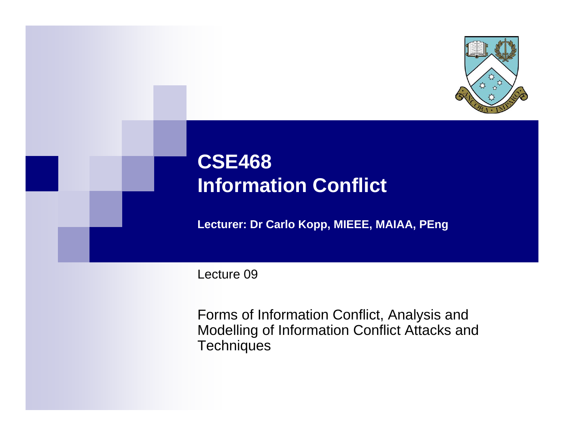

# **CSE468 Information Conflict**

**Lecturer: Dr Carlo Kopp, MIEEE, MAIAA, PEng**

Lecture 09

Forms of Information Conflict, Analysis and Modelling of Information Conflict Attacks and **Techniques**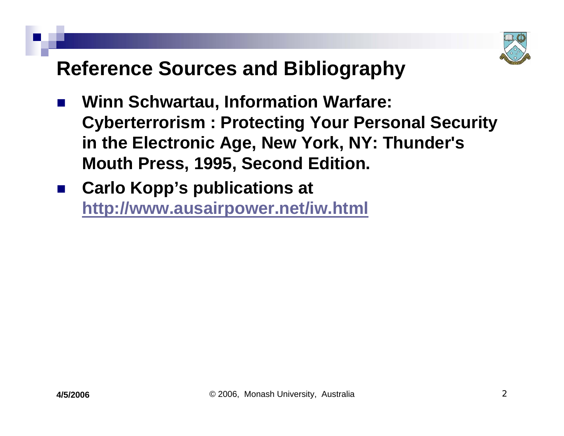

### **Reference Sources and Bibliography**

- $\mathbb{R}^3$  **Winn Schwartau, Information Warfare: Cyberterrorism : Protecting Your Personal Security in the Electronic Age, New York, NY: Thunder's Mouth Press, 1995, Second Edition.**
- $\mathbb{R}^3$  **Carlo Kopp's publications at <http://www.ausairpower.net/iw.html>**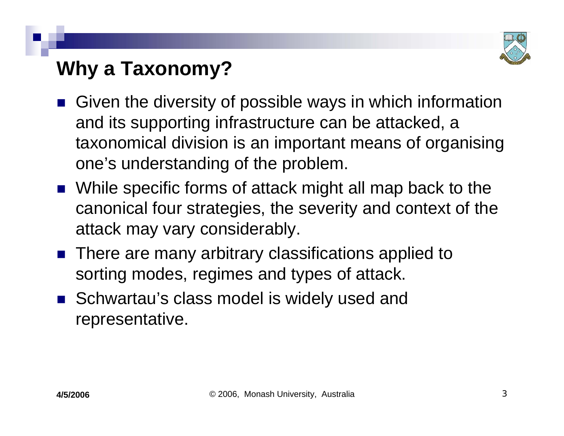

# **Why a Taxonomy?**

- Given the diversity of possible ways in which information and its supporting infrastructure can be attacked, a taxonomical division is an important means of organising one's understanding of the problem.
- While specific forms of attack might all map back to the canonical four strategies, the severity and context of the attack may vary considerably.
- There are many arbitrary classifications applied to sorting modes, regimes and types of attack.
- Schwartau's class model is widely used and representative.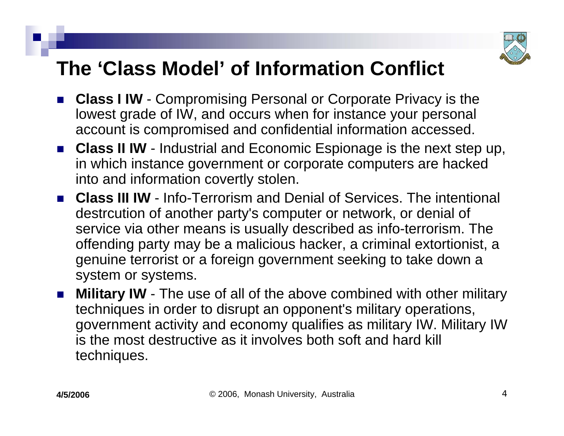

## **The 'Class Model' of Information Conflict**

- **Class I IW** Compromising Personal or Corporate Privacy is the lowest grade of IW, and occurs when for instance your personal account is compromised and confidential information accessed.
- **Class II IW** Industrial and Economic Espionage is the next step up, in which instance government or corporate computers are hacked into and information covertly stolen.
- **Class III IW** Info-Terrorism and Denial of Services. The intentional destrcution of another party's computer or network, or denial of service via other means is usually described as info-terrorism. The offending party may be a malicious hacker, a criminal extortionist, a genuine terrorist or a foreign government seeking to take down a system or systems.
- F. **Military IW** - The use of all of the above combined with other military techniques in order to disrupt an opponent's military operations, government activity and economy qualifies as military IW. Military IW is the most destructive as it involves both soft and hard kill techniques.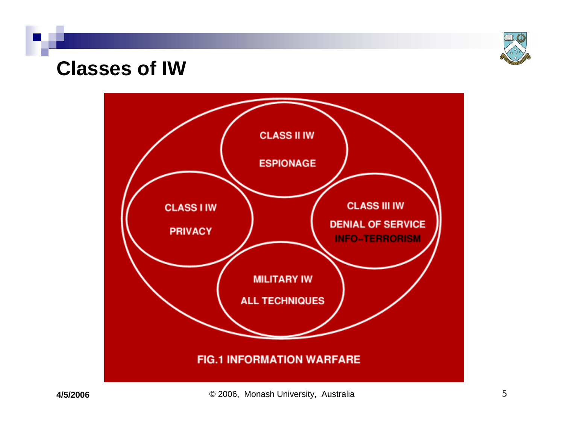

#### **Classes of IW**

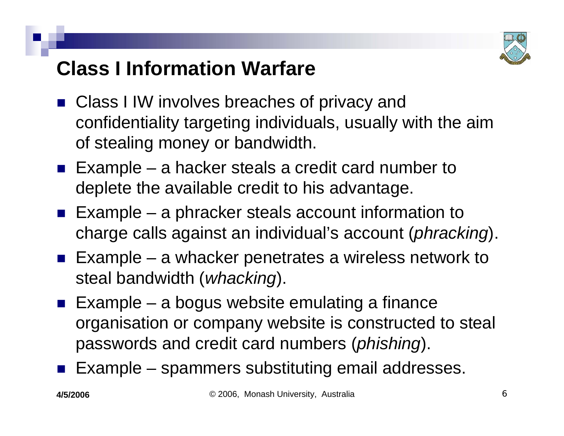

# **Class I Information Warfare**

- Class I IW involves breaches of privacy and confidentiality targeting individuals, usually with the aim of stealing money or bandwidth.
- **Example a hacker steals a credit card number to** deplete the available credit to his advantage.
- **Example a phracker steals account information to** charge calls against an individual's account (*phracking*).
- **Example a whacker penetrates a wireless network to** steal bandwidth (*whacking*).
- **Example a bogus website emulating a finance** organisation or company website is constructed to steal passwords and credit card numbers (*phishing*).
- $\mathbb{R}^3$ Example – spammers substituting email addresses.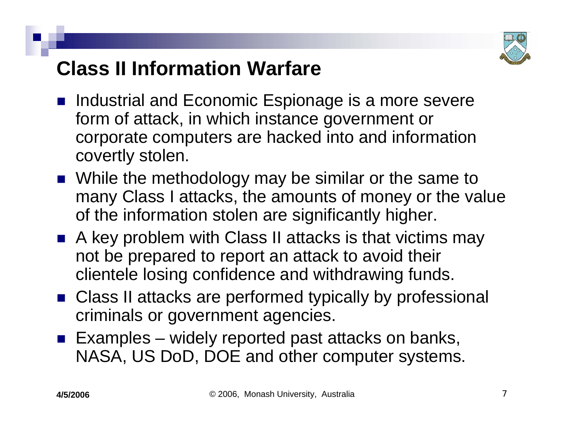

# **Class II Information Warfare**

- Industrial and Economic Espionage is a more severe form of attack, in which instance government or corporate computers are hacked into and information covertly stolen.
- While the methodology may be similar or the same to many Class I attacks, the amounts of money or the value of the information stolen are significantly higher.
- A key problem with Class II attacks is that victims may not be prepared to report an attack to avoid their clientele losing confidence and withdrawing funds.
- Class II attacks are performed typically by professional criminals or government agencies.
- **Examples widely reported past attacks on banks,** NASA, US DoD, DOE and other computer systems.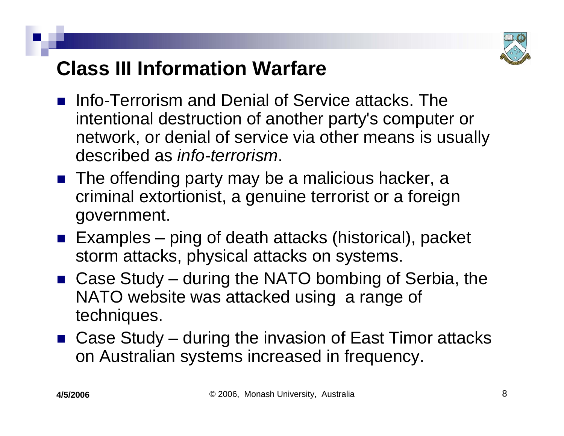

# **Class III Information Warfare**

- **n.** Info-Terrorism and Denial of Service attacks. The intentional destruction of another party's computer or network, or denial of service via other means is usually described as *info-terrorism*.
- The offending party may be a malicious hacker, a criminal extortionist, a genuine terrorist or a foreign government.
- Examples ping of death attacks (historical), packet storm attacks, physical attacks on systems.
- Case Study during the NATO bombing of Serbia, the NATO website was attacked using a range of techniques.
- Case Study during the invasion of East Timor attacks on Australian systems increased in frequency.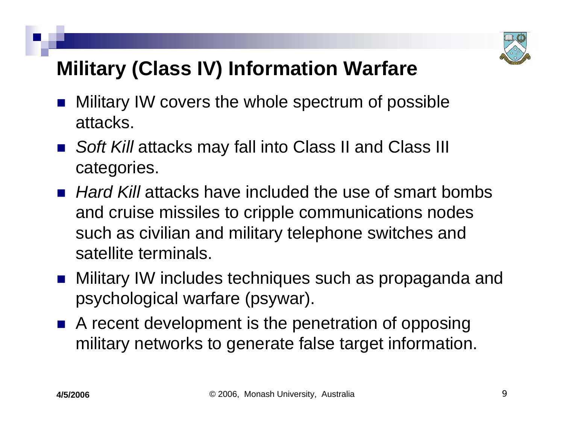

# **Military (Class IV) Information Warfare**

- $\mathbb{R}^3$  Military IW covers the whole spectrum of possible attacks.
- Soft Kill attacks may fall into Class II and Class III categories.
- *Hard Kill* attacks have included the use of smart bombs and cruise missiles to cripple communications nodes such as civilian and military telephone switches and satellite terminals.
- Military IW includes techniques such as propaganda and psychological warfare (psywar).
- A recent development is the penetration of opposing military networks to generate false target information.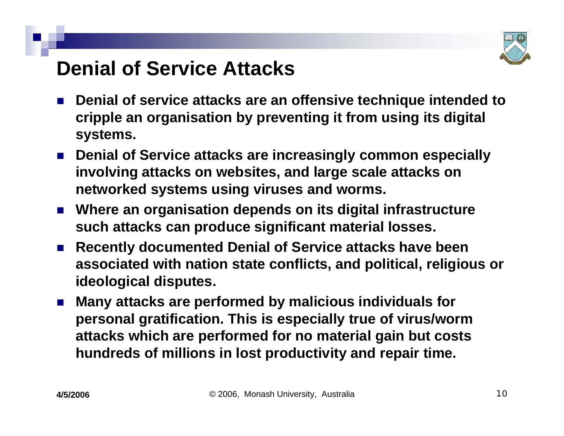

#### **Denial of Service Attacks**

- ×. **Denial of service attacks are an offensive technique intended to cripple an organisation by preventing it from using its digital systems.**
- Denial of Service attacks are increasingly common especially **involving attacks on websites, and large scale attacks on networked systems using viruses and worms.**
- **Where an organisation depends on its digital infrastructure such attacks can produce significant material losses.**
- F. **Recently documented Denial of Service attacks have been associated with nation state conflicts, and political, religious or ideological disputes.**
- F. **Many attacks are performed by malicious individuals for personal gratification. This is especially true of virus/worm attacks which are performed for no material gain but costs hundreds of millions in lost productivity and repair time.**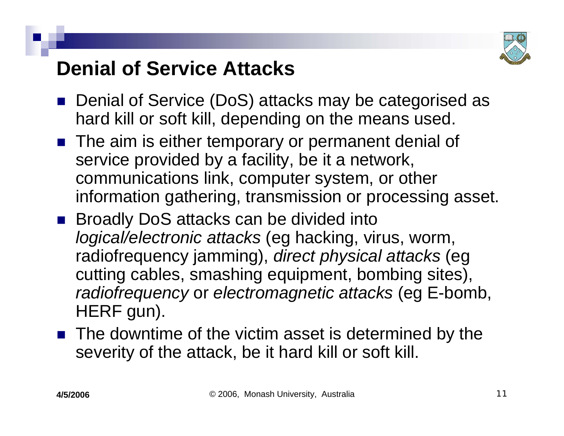

### **Denial of Service Attacks**

- Denial of Service (DoS) attacks may be categorised as hard kill or soft kill, depending on the means used.
- **The aim is either temporary or permanent denial of** service provided by a facility, be it a network, communications link, computer system, or other information gathering, transmission or processing asset.
- Broadly DoS attacks can be divided into *logical/electronic attacks* (eg hacking, virus, worm, radiofrequency jamming), *direct physical attacks* (eg cutting cables, smashing equipment, bombing sites), *radiofrequency* or *electromagnetic attacks* (eg E-bomb, HERF gun).
- The downtime of the victim asset is determined by the severity of the attack, be it hard kill or soft kill.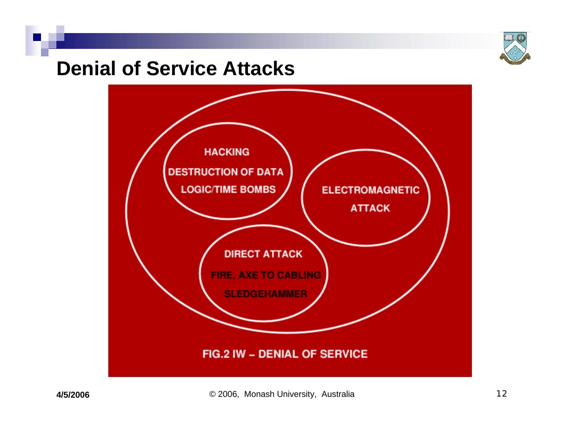

#### **Denial of Service Attacks**

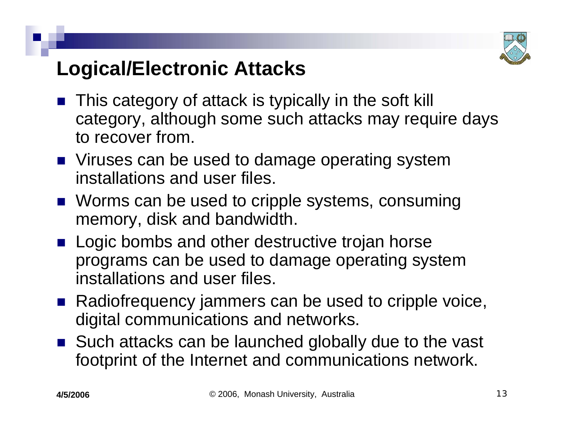

# **Logical/Electronic Attacks**

- This category of attack is typically in the soft kill category, although some such attacks may require days to recover from.
- Viruses can be used to damage operating system installations and user files.
- Worms can be used to cripple systems, consuming memory, disk and bandwidth.
- Logic bombs and other destructive trojan horse programs can be used to damage operating system installations and user files.
- Radiofrequency jammers can be used to cripple voice, digital communications and networks.
- Such attacks can be launched globally due to the vast footprint of the Internet and communications network.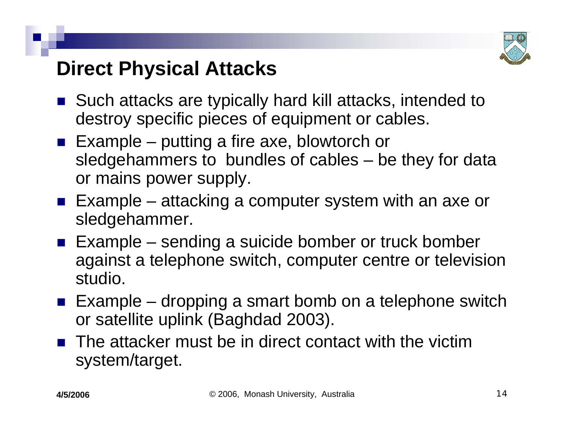

#### **Direct Physical Attacks**

- Such attacks are typically hard kill attacks, intended to destroy specific pieces of equipment or cables.
- **Example putting a fire axe, blowtorch or** sledgehammers to bundles of cables – be they for data or mains power supply.
- Example attacking a computer system with an axe or sledgehammer.
- Example sending a suicide bomber or truck bomber against a telephone switch, computer centre or television studio.
- **Example dropping a smart bomb on a telephone switch** or satellite uplink (Baghdad 2003).
- $\blacksquare$  The attacker must be in direct contact with the victim system/target.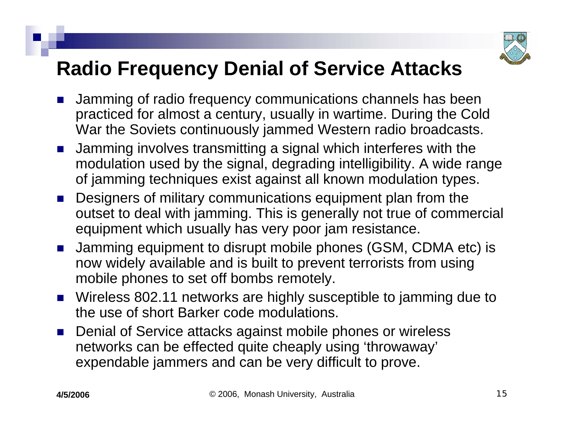

# **Radio Frequency Denial of Service Attacks**

- F. Jamming of radio frequency communications channels has been practiced for almost a century, usually in wartime. During the Cold War the Soviets continuously jammed Western radio broadcasts.
- F. Jamming involves transmitting a signal which interferes with the modulation used by the signal, degrading intelligibility. A wide range of jamming techniques exist against all known modulation types.
- ×. Designers of military communications equipment plan from the outset to deal with jamming. This is generally not true of commercial equipment which usually has very poor jam resistance.
- F. Jamming equipment to disrupt mobile phones (GSM, CDMA etc) is now widely available and is built to prevent terrorists from using mobile phones to set off bombs remotely.
- Wireless 802.11 networks are highly susceptible to jamming due to the use of short Barker code modulations.
- $\mathcal{L}_{\mathrm{eff}}$  Denial of Service attacks against mobile phones or wireless networks can be effected quite cheaply using 'throwaway' expendable jammers and can be very difficult to prove.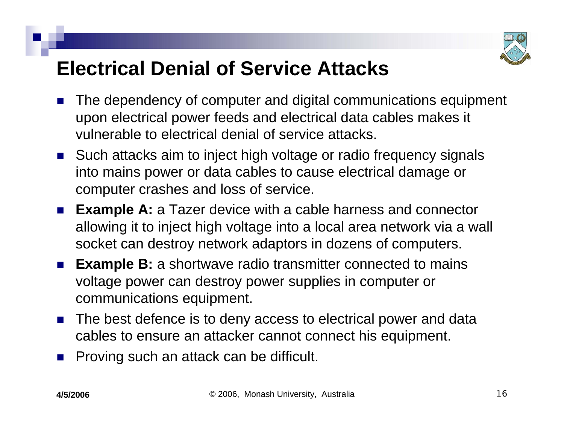

## **Electrical Denial of Service Attacks**

- ×. The dependency of computer and digital communications equipment upon electrical power feeds and electrical data cables makes it vulnerable to electrical denial of service attacks.
- Such attacks aim to inject high voltage or radio frequency signals into mains power or data cables to cause electrical damage or computer crashes and loss of service.
- F. **Example A:** a Tazer device with a cable harness and connector allowing it to inject high voltage into a local area network via a wall socket can destroy network adaptors in dozens of computers.
- F. **Example B:** a shortwave radio transmitter connected to mains voltage power can destroy power supplies in computer or communications equipment.
- **The best defence is to deny access to electrical power and data** cables to ensure an attacker cannot connect his equipment.
- $\mathcal{L}^{\text{max}}_{\text{max}}$ Proving such an attack can be difficult.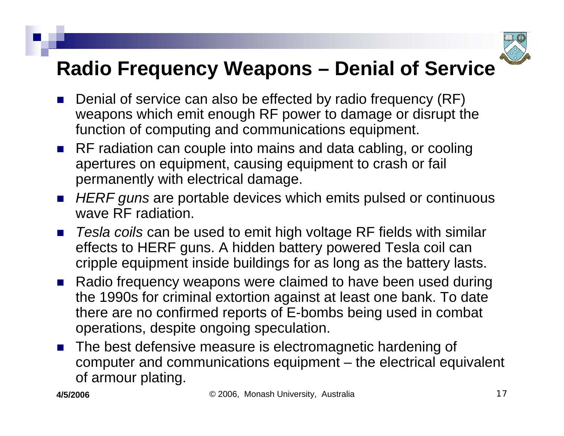

# **Radio Frequency Weapons – Denial of Service**

- F. Denial of service can also be effected by radio frequency (RF) weapons which emit enough RF power to damage or disrupt the function of computing and communications equipment.
- RF radiation can couple into mains and data cabling, or cooling apertures on equipment, causing equipment to crash or fail permanently with electrical damage.
- HERF guns are portable devices which emits pulsed or continuous wave RF radiation.
- F. *Tesla coils* can be used to emit high voltage RF fields with similar effects to HERF guns. A hidden battery powered Tesla coil can cripple equipment inside buildings for as long as the battery lasts.
- Radio frequency weapons were claimed to have been used during the 1990s for criminal extortion against at least one bank. To date there are no confirmed reports of E-bombs being used in combat operations, despite ongoing speculation.
- F. The best defensive measure is electromagnetic hardening of computer and communications equipment – the electrical equivalent of armour plating.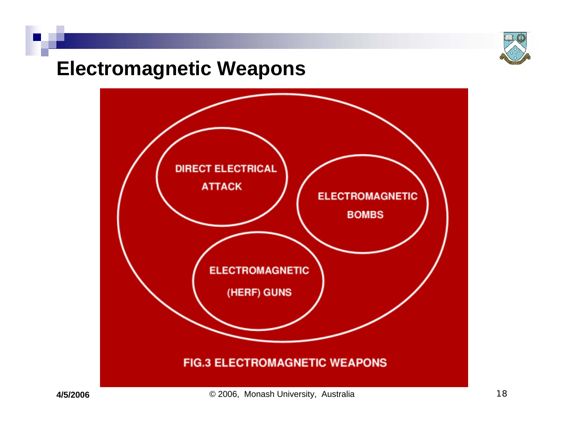

#### **Electromagnetic Weapons**

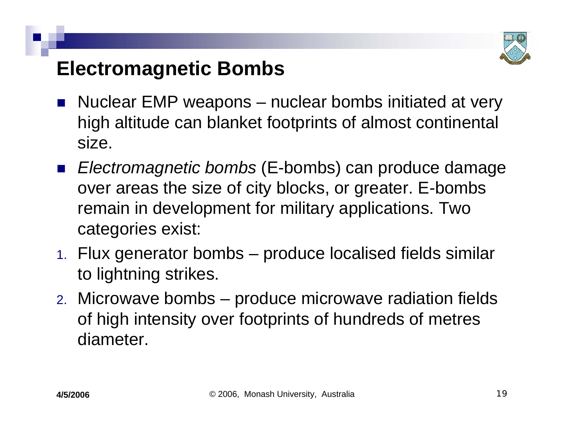

### **Electromagnetic Bombs**

- $\mathbb{R}^3$  Nuclear EMP weapons – nuclear bombs initiated at very high altitude can blanket footprints of almost continental size.
- $\mathbb{R}^3$  *Electromagnetic bombs* (E-bombs) can produce damage over areas the size of city blocks, or greater. E-bombs remain in development for military applications. Two categories exist:
- 1. Flux generator bombs produce localised fields similar to lightning strikes.
- 2. Microwave bombs produce microwave radiation fields of high intensity over footprints of hundreds of metres diameter.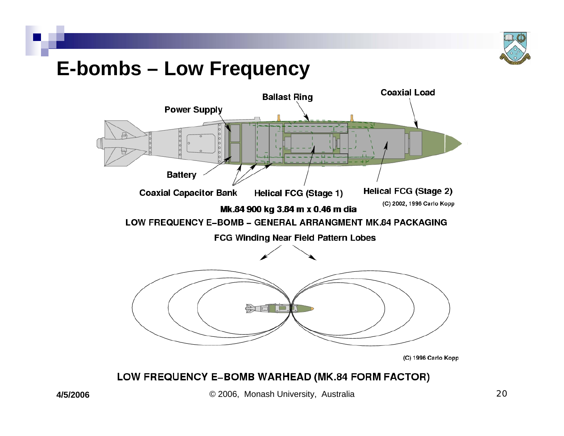

#### **E-bombs – Low Frequency**



#### LOW FREQUENCY E-BOMB WARHEAD (MK.84 FORM FACTOR)

© 2006, Monash University, Australia 20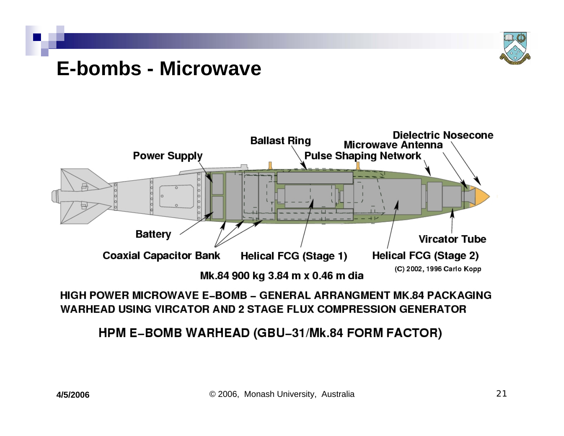

#### **E-bombs - Microwave**



#### HIGH POWER MICROWAVE E-BOMB – GENERAL ARRANGMENT MK 84 PACKAGING WARHEAD USING VIRCATOR AND 2 STAGE FLUX COMPRESSION GENERATOR

#### **HPM E-BOMB WARHEAD (GBU-31/Mk.84 FORM FACTOR)**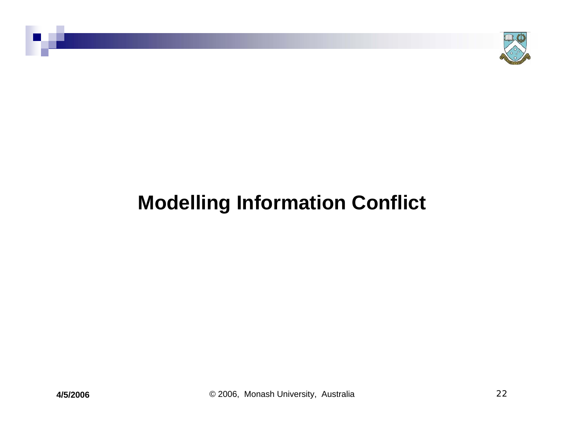

# **Modelling Information Conflict**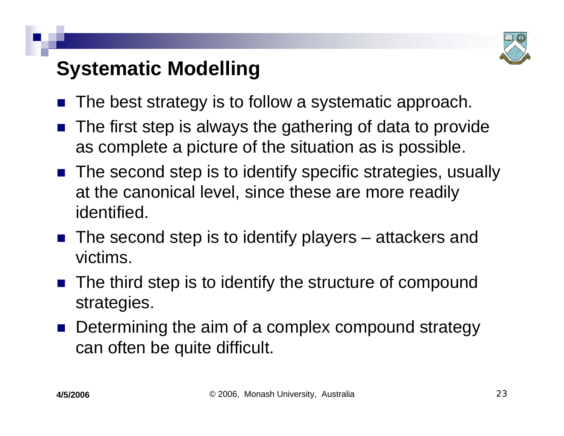

# **Systematic Modelling**

- $\mathbb{R}^3$ The best strategy is to follow a systematic approach.
- The first step is always the gathering of data to provide as complete a picture of the situation as is possible.
- The second step is to identify specific strategies, usually at the canonical level, since these are more readily identified.
- $\blacksquare$  The second step is to identify players attackers and victims.
- $\mathbb{R}^3$  The third step is to identify the structure of compound strategies.
- $\mathbb{R}^3$  Determining the aim of a complex compound strategy can often be quite difficult.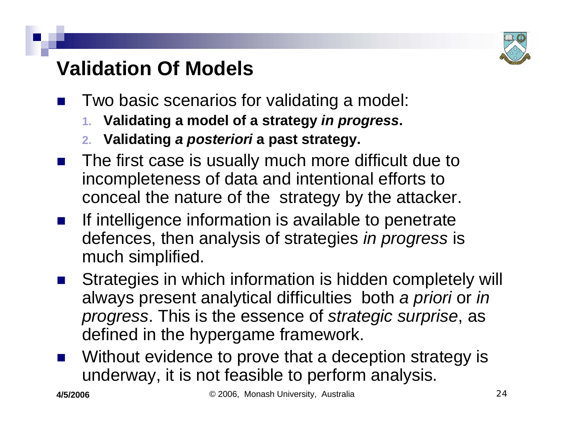

# **Validation Of Models**

- $\mathbb{R}^3$  Two basic scenarios for validating a model:
	- **1. Validating a model of a strategy** *in progress***.**
	- **2. Validating** *a posteriori* **a past strategy.**
- $\mathbb{R}^3$  The first case is usually much more difficult due to incompleteness of data and intentional efforts to conceal the nature of the strategy by the attacker.
- $\mathbb{R}^3$  If intelligence information is available to penetrate defences, then analysis of strategies *in progress* is much simplified.
- $\mathbb{R}^3$  Strategies in which information is hidden completely will always present analytical difficulties both *a priori* or *in progress*. This is the essence of *strategic surprise*, as defined in the hypergame framework.
- $\mathbb{R}^3$  Without evidence to prove that a deception strategy is underway, it is not feasible to perform analysis.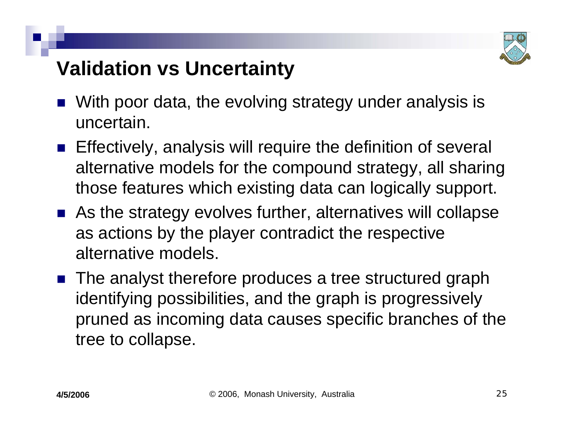

## **Validation vs Uncertainty**

- $\mathbb{R}^3$  With poor data, the evolving strategy under analysis is uncertain.
- **Effectively, analysis will require the definition of several** alternative models for the compound strategy, all sharing those features which existing data can logically support.
- As the strategy evolves further, alternatives will collapse as actions by the player contradict the respective alternative models.
- The analyst therefore produces a tree structured graph identifying possibilities, and the graph is progressively pruned as incoming data causes specific branches of the tree to collapse.